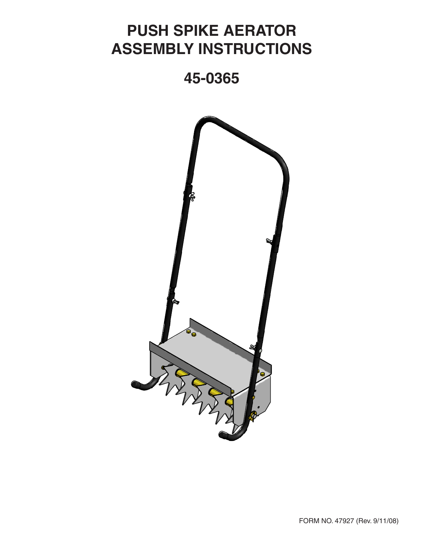## **PUSH SPIKE AERATOR ASSEMBLY INSTRUCTIONS**

## **45-0365**

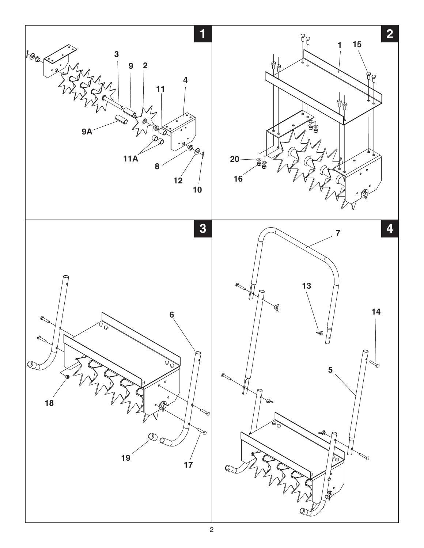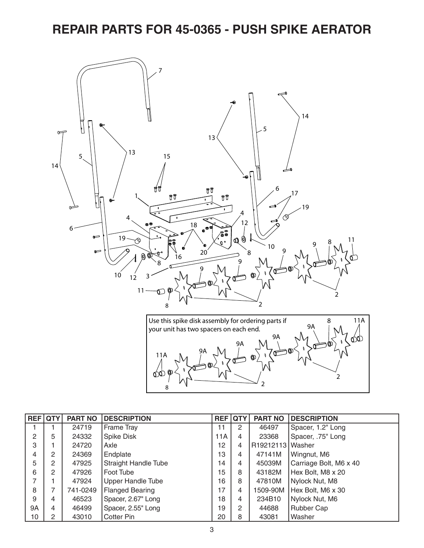## **REPAIR PARTS FOR 45-0365 - PUSH SPIKE AERATOR**



| <b>REF</b> QTY |   | <b>PART NO</b> | <b>DESCRIPTION</b>          | <b>REF</b> | <b>QTY</b>           | <b>PART NO</b>   | <b>DESCRIPTION</b>     |
|----------------|---|----------------|-----------------------------|------------|----------------------|------------------|------------------------|
|                |   | 24719          | Frame Tray                  | 11         | 2                    | 46497            | Spacer, 1.2" Long      |
| 2              | 5 | 24332          | <b>Spike Disk</b>           | 11A        | 4                    | 23368            | Spacer, .75" Long      |
| 3              |   | 24720          | Axle                        | 12         | 4                    | R19212113 Washer |                        |
| 4              | 2 | 24369          | Endplate                    | 13         | 4                    | 47141M           | Wingnut, M6            |
| 5              | 2 | 47925          | <b>Straight Handle Tube</b> | 14         | 4                    | 45039M           | Carriage Bolt, M6 x 40 |
| 6              | 2 | 47926          | Foot Tube                   | 15         | 8                    | 43182M           | Hex Bolt, M8 x 20      |
|                |   | 47924          | <b>Upper Handle Tube</b>    | 16         | 8                    | 47810M           | Nylock Nut, M8         |
| 8              |   | 741-0249       | <b>Flanged Bearing</b>      | 17         | 4                    | 1509-90M         | Hex Bolt, M6 x 30      |
| 9              | 4 | 46523          | Spacer, 2.67" Long          | 18         | 4                    | 234B10           | Nylock Nut, M6         |
| 9A             | 4 | 46499          | Spacer, 2.55" Long          | 19         | $\mathbf{2}^{\circ}$ | 44688            | <b>Rubber Cap</b>      |
| 10             | 2 | 43010          | <b>Cotter Pin</b>           | 20         | 8                    | 43081            | Washer                 |